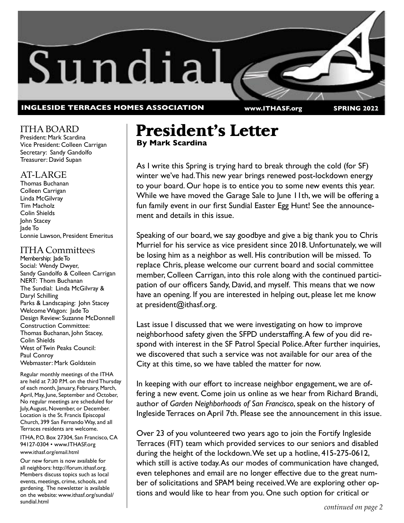

ITHA BOARD President: Mark Scardina Vice President: Colleen Carrigan Secretary: Sandy Gandolfo Treasurer: David Supan

### AT-LARGE

Thomas Buchanan Colleen Carrigan Linda McGilvray Tim Macholz Colin Shields John Stacey Jade To Lonnie Lawson, President Emeritus

### ITHA Committees

Membership: Jade To Social: Wendy Dwyer, Sandy Gandolfo & Colleen Carrigan NERT: Thom Buchanan The Sundial: Linda McGilvray & Daryl Schilling Parks & Landscaping: John Stacey Welcome Wagon: Jade To Design Review: Suzanne McDonnell Construction Committee: Thomas Buchanan, John Stacey, Colin Shields West of Twin Peaks Council: Paul Conroy Webmaster: Mark Goldstein

Regular monthly meetings of the ITHA are held at 7:30 P.M. on the third Thursday of each month, January, February, March, April, May, June, September and October, No regular meetings are scheduled for July, August, November, or December. Location is the St. Francis Episcopal Church, 399 San Fernando Way, and all Terraces residents are welcome.

ITHA, P.O. Box 27304, San Francisco, CA 94127-0304 • www.ITHASF.org

#### www.ithasf.org/email.html

Our new forum is now available for all neighbors: http://forum.ithasf.org. Members discuss topics such as local events, meetings, crime, schools, and gardening. The newsletter is available on the website: www.ithasf.org/sundial/ sundial.html

# **President's Letter By Mark Scardina**

As I write this Spring is trying hard to break through the cold (for SF) winter we've had. This new year brings renewed post-lockdown energy to your board. Our hope is to entice you to some new events this year. While we have moved the Garage Sale to June 11th, we will be offering a fun family event in our first Sundial Easter Egg Hunt! See the announcement and details in this issue.

Speaking of our board, we say goodbye and give a big thank you to Chris Murriel for his service as vice president since 2018. Unfortunately, we will be losing him as a neighbor as well. His contribution will be missed. To replace Chris, please welcome our current board and social committee member, Colleen Carrigan, into this role along with the continued participation of our officers Sandy, David, and myself. This means that we now have an opening. If you are interested in helping out, please let me know at president@ithasf.org.

Last issue I discussed that we were investigating on how to improve neighborhood safety given the SFPD understaffing. A few of you did respond with interest in the SF Patrol Special Police. After further inquiries, we discovered that such a service was not available for our area of the City at this time, so we have tabled the matter for now.

In keeping with our effort to increase neighbor engagement, we are offering a new event. Come join us online as we hear from Richard Brandi, author of *Garden Neighborhoods of San Francisco*, speak on the history of Ingleside Terraces on April 7th. Please see the announcement in this issue.

Over 23 of you volunteered two years ago to join the Fortify Ingleside Terraces (FIT) team which provided services to our seniors and disabled during the height of the lockdown. We set up a hotline, 415-275-0612, which still is active today. As our modes of communication have changed, even telephones and email are no longer effective due to the great number of solicitations and SPAM being received. We are exploring other options and would like to hear from you. One such option for critical or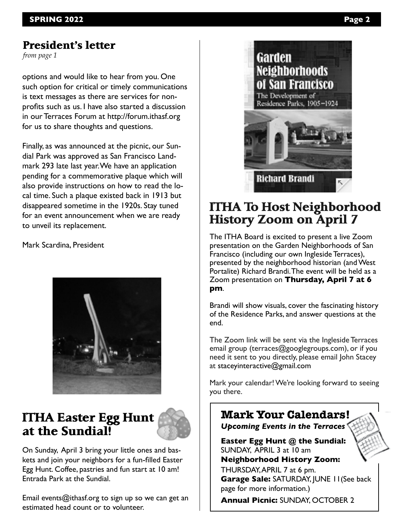### **President's letter**

*from page 1*

options and would like to hear from you. One such option for critical or timely communications is text messages as there are services for nonprofits such as us. I have also started a discussion in our Terraces Forum at http://forum.ithasf.org for us to share thoughts and questions.

Finally, as was announced at the picnic, our Sundial Park was approved as San Francisco Landmark 293 late last year. We have an application pending for a commemorative plaque which will also provide instructions on how to read the local time. Such a plaque existed back in 1913 but disappeared sometime in the 1920s. Stay tuned for an event announcement when we are ready to unveil its replacement.

Mark Scardina, President



# **ITHA Easter Egg Hunt at the Sundial!**



On Sunday, April 3 bring your little ones and baskets and join your neighbors for a fun-filled Easter Egg Hunt. Coffee, pastries and fun start at 10 am! Entrada Park at the Sundial.

Email events@ithasf.org to sign up so we can get an estimated head count or to volunteer.



# **ITHA To Host Neighborhood History Zoom on April 7**

The ITHA Board is excited to present a live Zoom presentation on the Garden Neighborhoods of San Francisco (including our own Ingleside Terraces), presented by the neighborhood historian (and West Portalite) Richard Brandi. The event will be held as a Zoom presentation on **Thursday, April 7 at 6 pm**.

Brandi will show visuals, cover the fascinating history of the Residence Parks, and answer questions at the end.

The Zoom link will be sent via the Ingleside Terraces email group (terraces@googlegroups.com), or if you need it sent to you directly, please email John Stacey at staceyinteractive@gmail.com

Mark your calendar! We're looking forward to seeing you there.

## **Mark Your Calendars!** *Upcoming Events in the Terraces* **Easter Egg Hunt @ the Sundial:**

SUNDAY, APRIL 3 at 10 am **Neighborhood History Zoom:**  THURSDAY, APRIL 7 at 6 pm.

**Garage Sale: SATURDAY, JUNE 11(See back** page for more information.)

**Annual Picnic: SUNDAY, OCTOBER 2**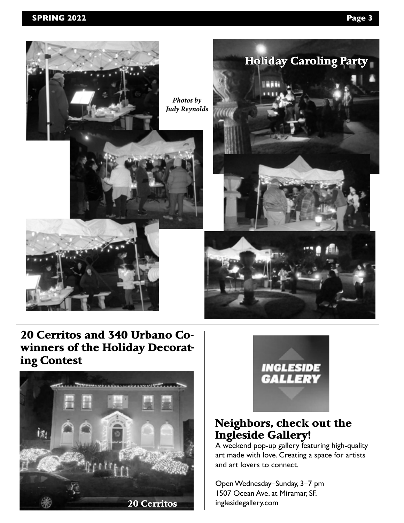



# **20 Cerritos and 340 Urbano Cowinners of the Holiday Decorating Contest**





# **Neighbors, check out the Ingleside Gallery!**

A weekend pop-up gallery featuring high-quality art made with love. Creating a space for artists and art lovers to connect.

Open Wednesday–Sunday, 3–7 pm 1507 Ocean Ave. at Miramar, SF.